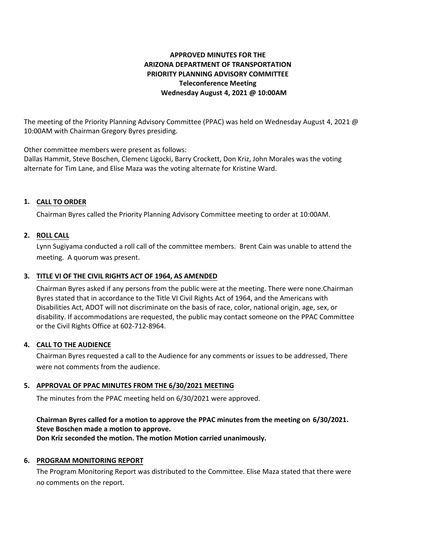# **APPROVED MINUTES FOR THE ARIZONA DEPARTMENT OF TRANSPORTATION PRIORITY PLANNING ADVISORY COMMITTEE Teleconference Meeting Wednesday August 4, 2021 @ 10:00AM**

The meeting of the Priority Planning Advisory Committee (PPAC) was held on Wednesday August 4, 2021 @ 10:00AM with Chairman Gregory Byres presiding.

Other committee members were present as follows:

Dallas Hammit, Steve Boschen, Clemenc Ligocki, Barry Crockett, Don Kriz, John Morales was the voting alternate for Tim Lane, and Elise Maza was the voting alternate for Kristine Ward.

# **CALL TO ORDER 1.**

Chairman Byres called the Priority Planning Advisory Committee meeting to order at 10:00AM.

## **ROLL CALL 2.**

Lynn Sugiyama conducted a roll call of the committee members. Brent Cain was unable to attend the meeting. A quorum was present.

# **TITLE VI OF THE CIVIL RIGHTS ACT OF 1964, AS AMENDED 3.**

Chairman Byres asked if any persons from the public were at the meeting. There were none.Chairman Byres stated that in accordance to the Title VI Civil Rights Act of 1964, and the Americans with Disabilities Act, ADOT will not discriminate on the basis of race, color, national origin, age, sex, or disability. If accommodations are requested, the public may contact someone on the PPAC Committee or the Civil Rights Office at 602-712-8964.

#### **CALL TO THE AUDIENCE 4.**

Chairman Byres requested a call to the Audience for any comments or issues to be addressed, There were not comments from the audience.

## **APPROVAL OF PPAC MINUTES FROM THE 6/30/2021 MEETING 5.**

The minutes from the PPAC meeting held on 6/30/2021 were approved.

## **Chairman Byres called for a motion to approve the PPAC minutes from the meeting on 6/30/2021. Steve Boschen made a motion to approve.**

**Don Kriz seconded the motion. The motion Motion carried unanimously.**

#### **6. PROGRAM MONITORING REPORT**

The Program Monitoring Report was distributed to the Committee. Elise Maza stated that there were no comments on the report.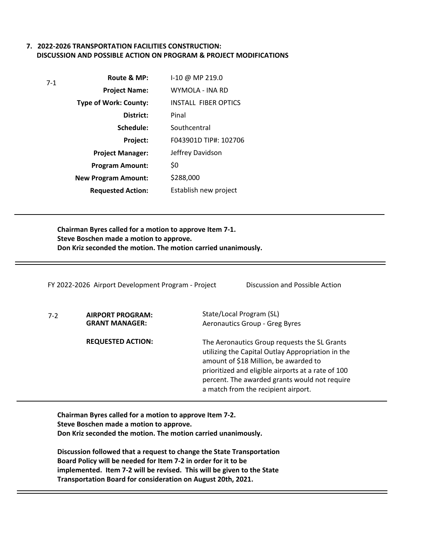### **7. 2022-2026 TRANSPORTATION FACILITIES CONSTRUCTION: DISCUSSION AND POSSIBLE ACTION ON PROGRAM & PROJECT MODIFICATIONS**

| $7-1$ | Route & MP:                  | I-10 @ MP 219.0             |
|-------|------------------------------|-----------------------------|
|       | <b>Project Name:</b>         | WYMOLA - INA RD             |
|       | <b>Type of Work: County:</b> | <b>INSTALL FIBER OPTICS</b> |
|       | District:                    | Pinal                       |
|       | Schedule:                    | Southcentral                |
|       | Project:                     | F043901D TIP#: 102706       |
|       | <b>Project Manager:</b>      | Jeffrey Davidson            |
|       | <b>Program Amount:</b>       | \$0                         |
|       | <b>New Program Amount:</b>   | \$288,000                   |
|       | <b>Requested Action:</b>     | Establish new project       |

**Chairman Byres called for a motion to approve Item 7-1. Steve Boschen made a motion to approve. Don Kriz seconded the motion. The motion carried unanimously.**

|       | FY 2022-2026 Airport Development Program - Project | Discussion and Possible Action                                                                                                                                                                                                                                                           |
|-------|----------------------------------------------------|------------------------------------------------------------------------------------------------------------------------------------------------------------------------------------------------------------------------------------------------------------------------------------------|
| $7-2$ | AIRPORT PROGRAM:<br><b>GRANT MANAGER:</b>          | State/Local Program (SL)<br>Aeronautics Group - Greg Byres                                                                                                                                                                                                                               |
|       | <b>REQUESTED ACTION:</b>                           | The Aeronautics Group requests the SL Grants<br>utilizing the Capital Outlay Appropriation in the<br>amount of \$18 Million, be awarded to<br>prioritized and eligible airports at a rate of 100<br>percent. The awarded grants would not require<br>a match from the recipient airport. |

**Chairman Byres called for a motion to approve Item 7-2. Steve Boschen made a motion to approve. Don Kriz seconded the motion. The motion carried unanimously.**

**Discussion followed that a request to change the State Transportation Board Policy will be needed for Item 7-2 in order for it to be implemented. Item 7-2 will be revised. This will be given to the State Transportation Board for consideration on August 20th, 2021.**